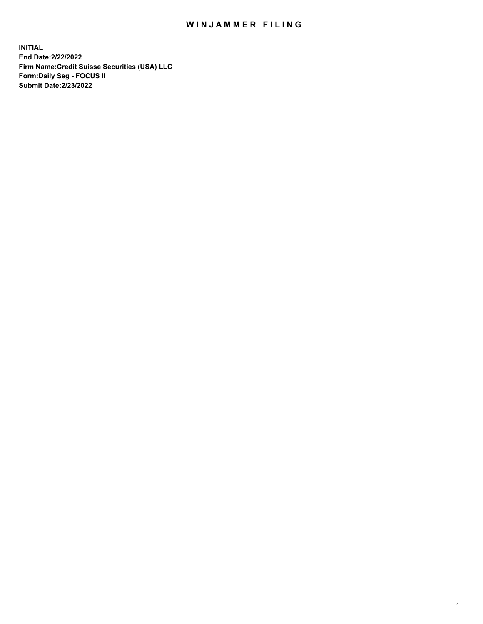## WIN JAMMER FILING

**INITIAL End Date:2/22/2022 Firm Name:Credit Suisse Securities (USA) LLC Form:Daily Seg - FOCUS II Submit Date:2/23/2022**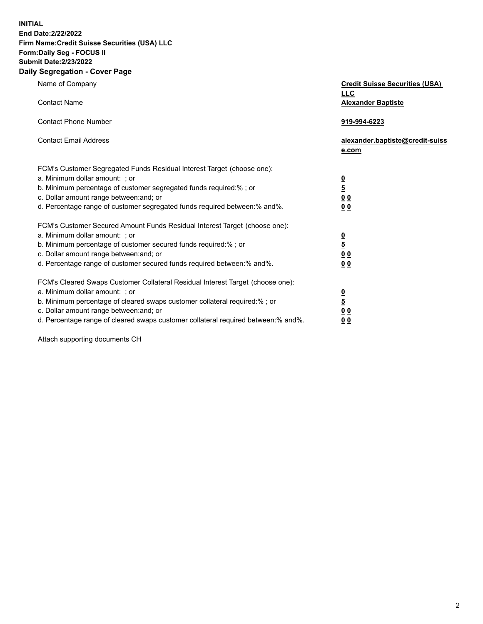**INITIAL** 

## **End Date:2/22/2022 Firm Name:Credit Suisse Securities (USA) LLC Form:Daily Seg - FOCUS II Submit Date:2/23/2022**

## **Daily Segregation - Cover Page**

| Name of Company                                                                                                       | <b>Credit Suisse Securities (USA)</b><br><b>LLC</b> |
|-----------------------------------------------------------------------------------------------------------------------|-----------------------------------------------------|
| <b>Contact Name</b>                                                                                                   | <b>Alexander Baptiste</b>                           |
| <b>Contact Phone Number</b>                                                                                           | 919-994-6223                                        |
| <b>Contact Email Address</b>                                                                                          | alexander.baptiste@credit-suiss<br>e.com            |
| FCM's Customer Segregated Funds Residual Interest Target (choose one):                                                |                                                     |
| a. Minimum dollar amount: ; or                                                                                        |                                                     |
| b. Minimum percentage of customer segregated funds required:%; or                                                     | $\frac{\frac{0}{5}}{\frac{0}{0}}$                   |
| c. Dollar amount range between: and; or                                                                               |                                                     |
| d. Percentage range of customer segregated funds required between: % and %.                                           | 0 <sub>0</sub>                                      |
| FCM's Customer Secured Amount Funds Residual Interest Target (choose one):                                            |                                                     |
| a. Minimum dollar amount: ; or                                                                                        | $\frac{0}{5}$                                       |
| b. Minimum percentage of customer secured funds required:%; or                                                        |                                                     |
| c. Dollar amount range between: and; or                                                                               | $\underline{0}$ $\underline{0}$                     |
| d. Percentage range of customer secured funds required between:% and%.                                                | 0 <sub>0</sub>                                      |
| FCM's Cleared Swaps Customer Collateral Residual Interest Target (choose one):                                        |                                                     |
| a. Minimum dollar amount: ; or                                                                                        | $\frac{0}{5}$                                       |
| b. Minimum percentage of cleared swaps customer collateral required:% ; or<br>c. Dollar amount range between: and; or |                                                     |
| d. Percentage range of cleared swaps customer collateral required between:% and%.                                     | 0 <sub>0</sub><br>0 <sub>0</sub>                    |
|                                                                                                                       |                                                     |

Attach supporting documents CH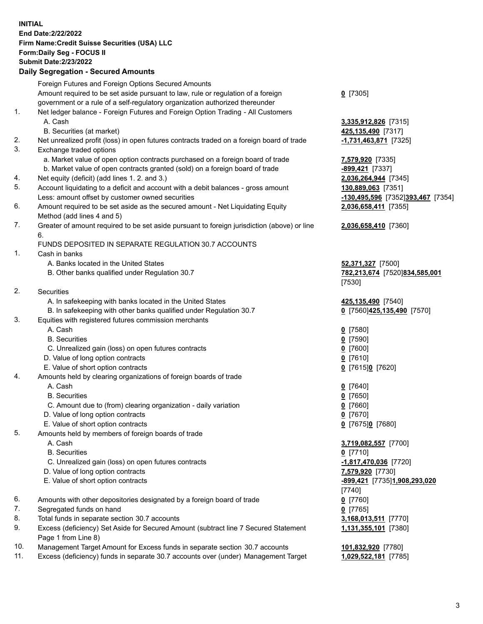**INITIAL End Date:2/22/2022 Firm Name:Credit Suisse Securities (USA) LLC Form:Daily Seg - FOCUS II Submit Date:2/23/2022** 

## **Daily Segregation - Secured Amounts**

|     | Daily Segregation - Secured Alliounts                                                       |                                   |
|-----|---------------------------------------------------------------------------------------------|-----------------------------------|
|     | Foreign Futures and Foreign Options Secured Amounts                                         |                                   |
|     | Amount required to be set aside pursuant to law, rule or regulation of a foreign            | $0$ [7305]                        |
|     | government or a rule of a self-regulatory organization authorized thereunder                |                                   |
| 1.  | Net ledger balance - Foreign Futures and Foreign Option Trading - All Customers             |                                   |
|     | A. Cash                                                                                     | 3,335,912,826 [7315]              |
|     | B. Securities (at market)                                                                   | 425,135,490 [7317]                |
| 2.  | Net unrealized profit (loss) in open futures contracts traded on a foreign board of trade   | 1,731,463,871 [7325]              |
| 3.  | Exchange traded options                                                                     |                                   |
|     | a. Market value of open option contracts purchased on a foreign board of trade              | 7,579,920 [7335]                  |
|     | b. Market value of open contracts granted (sold) on a foreign board of trade                | -899,421 [7337]                   |
| 4.  | Net equity (deficit) (add lines 1. 2. and 3.)                                               | 2,036,264,944 [7345]              |
| 5.  | Account liquidating to a deficit and account with a debit balances - gross amount           | 130,889,063 [7351]                |
|     | Less: amount offset by customer owned securities                                            | -130,495,596 [7352]393,467 [7354] |
| 6.  | Amount required to be set aside as the secured amount - Net Liquidating Equity              | 2,036,658,411 [7355]              |
|     | Method (add lines 4 and 5)                                                                  |                                   |
| 7.  | Greater of amount required to be set aside pursuant to foreign jurisdiction (above) or line | 2,036,658,410 [7360]              |
|     | 6.                                                                                          |                                   |
|     | FUNDS DEPOSITED IN SEPARATE REGULATION 30.7 ACCOUNTS                                        |                                   |
| 1.  | Cash in banks                                                                               |                                   |
|     | A. Banks located in the United States                                                       | 52,371,327 [7500]                 |
|     | B. Other banks qualified under Regulation 30.7                                              | 782,213,674 [7520]834,585,001     |
|     |                                                                                             | [7530]                            |
| 2.  | <b>Securities</b>                                                                           |                                   |
|     | A. In safekeeping with banks located in the United States                                   | 425,135,490 [7540]                |
|     | B. In safekeeping with other banks qualified under Regulation 30.7                          | 0 [7560] 425, 135, 490 [7570]     |
| 3.  | Equities with registered futures commission merchants                                       |                                   |
|     | A. Cash                                                                                     | $0$ [7580]                        |
|     | <b>B.</b> Securities                                                                        | $0$ [7590]                        |
|     | C. Unrealized gain (loss) on open futures contracts                                         | $0$ [7600]                        |
|     | D. Value of long option contracts                                                           | $0$ [7610]                        |
|     | E. Value of short option contracts                                                          | 0 [7615]0 [7620]                  |
| 4.  | Amounts held by clearing organizations of foreign boards of trade<br>A. Cash                |                                   |
|     | <b>B.</b> Securities                                                                        | $0$ [7640]                        |
|     | C. Amount due to (from) clearing organization - daily variation                             | $0$ [7650]<br>$0$ [7660]          |
|     | D. Value of long option contracts                                                           | $0$ [7670]                        |
|     | E. Value of short option contracts                                                          |                                   |
| 5.  | Amounts held by members of foreign boards of trade                                          | 0 [7675]0 [7680]                  |
|     | A. Cash                                                                                     | 3,719,082,557 [7700]              |
|     | <b>B.</b> Securities                                                                        | $0$ [7710]                        |
|     | C. Unrealized gain (loss) on open futures contracts                                         | -1,817,470,036 [7720]             |
|     | D. Value of long option contracts                                                           | 7,579,920 [7730]                  |
|     | E. Value of short option contracts                                                          | -899,421 [7735]1,908,293,020      |
|     |                                                                                             | $[7740]$                          |
| 6.  | Amounts with other depositories designated by a foreign board of trade                      | $0$ [7760]                        |
| 7.  | Segregated funds on hand                                                                    | $0$ [7765]                        |
| 8.  | Total funds in separate section 30.7 accounts                                               | 3,168,013,511 [7770]              |
| 9.  | Excess (deficiency) Set Aside for Secured Amount (subtract line 7 Secured Statement         | 1,131,355,101 [7380]              |
|     | Page 1 from Line 8)                                                                         |                                   |
| 10. | Management Target Amount for Excess funds in separate section 30.7 accounts                 | 101,832,920 [7780]                |

11. Excess (deficiency) funds in separate 30.7 accounts over (under) Management Target **1,029,522,181** [7785]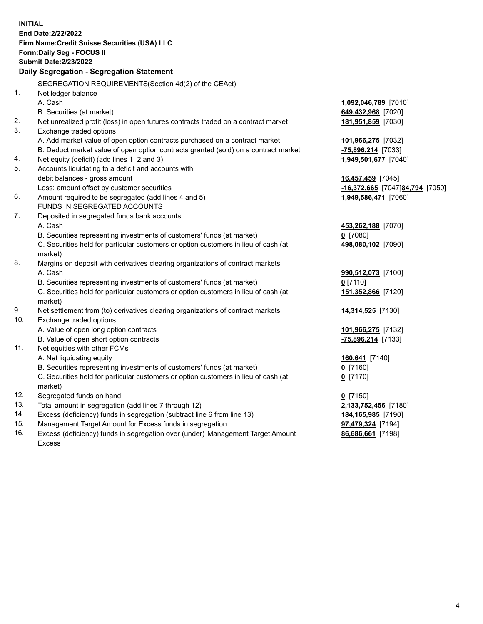| <b>INITIAL</b> | End Date: 2/22/2022<br>Firm Name: Credit Suisse Securities (USA) LLC<br>Form: Daily Seg - FOCUS II |                                 |
|----------------|----------------------------------------------------------------------------------------------------|---------------------------------|
|                | <b>Submit Date:2/23/2022</b>                                                                       |                                 |
|                | Daily Segregation - Segregation Statement                                                          |                                 |
|                | SEGREGATION REQUIREMENTS(Section 4d(2) of the CEAct)                                               |                                 |
| 1.             | Net ledger balance                                                                                 |                                 |
|                | A. Cash                                                                                            | 1,092,046,789 [7010]            |
|                | B. Securities (at market)                                                                          | 649,432,968 [7020]              |
| 2.             | Net unrealized profit (loss) in open futures contracts traded on a contract market                 | 181,951,859 [7030]              |
| 3.             | Exchange traded options                                                                            |                                 |
|                | A. Add market value of open option contracts purchased on a contract market                        | 101,966,275 [7032]              |
|                | B. Deduct market value of open option contracts granted (sold) on a contract market                | -75,896,214 [7033]              |
| 4.             | Net equity (deficit) (add lines 1, 2 and 3)                                                        | 1,949,501,677 [7040]            |
| 5.             | Accounts liquidating to a deficit and accounts with                                                |                                 |
|                | debit balances - gross amount                                                                      | 16,457,459 [7045]               |
|                | Less: amount offset by customer securities                                                         | -16,372,665 [7047]84,794 [7050] |
| 6.             | Amount required to be segregated (add lines 4 and 5)                                               | 1,949,586,471 [7060]            |
|                | FUNDS IN SEGREGATED ACCOUNTS                                                                       |                                 |
| 7.             | Deposited in segregated funds bank accounts                                                        |                                 |
|                | A. Cash                                                                                            | 453,262,188 [7070]              |
|                | B. Securities representing investments of customers' funds (at market)                             | $0$ [7080]                      |
|                | C. Securities held for particular customers or option customers in lieu of cash (at                | 498,080,102 [7090]              |
|                | market)                                                                                            |                                 |
| 8.             | Margins on deposit with derivatives clearing organizations of contract markets                     |                                 |
|                | A. Cash                                                                                            | 990,512,073 [7100]              |
|                | B. Securities representing investments of customers' funds (at market)                             | $0$ [7110]                      |
|                | C. Securities held for particular customers or option customers in lieu of cash (at                | 151,352,866 [7120]              |
|                | market)                                                                                            |                                 |
| 9.             | Net settlement from (to) derivatives clearing organizations of contract markets                    | 14,314,525 [7130]               |
| 10.            | Exchange traded options                                                                            |                                 |
|                | A. Value of open long option contracts                                                             | 101,966,275 [7132]              |
|                | B. Value of open short option contracts                                                            | -75,896,214 [7133]              |
| 11.            | Net equities with other FCMs                                                                       |                                 |
|                | A. Net liquidating equity                                                                          | 160,641 [7140]                  |
|                | B. Securities representing investments of customers' funds (at market)                             | $0$ [7160]                      |
|                | C. Securities held for particular customers or option customers in lieu of cash (at                | $0$ [7170]                      |
|                | market)                                                                                            |                                 |
| 12.            | Segregated funds on hand                                                                           | $0$ [7150]                      |
| 13.            | Total amount in segregation (add lines 7 through 12)                                               | 2,133,752,456 [7180]            |
| 14.            | Excess (deficiency) funds in segregation (subtract line 6 from line 13)                            | 184, 165, 985 [7190]            |
| 15.            | Management Target Amount for Excess funds in segregation                                           | 97,479,324 [7194]               |
| 16.            | Excess (deficiency) funds in segregation over (under) Management Target Amount                     | 86,686,661 [7198]               |
|                | <b>Excess</b>                                                                                      |                                 |